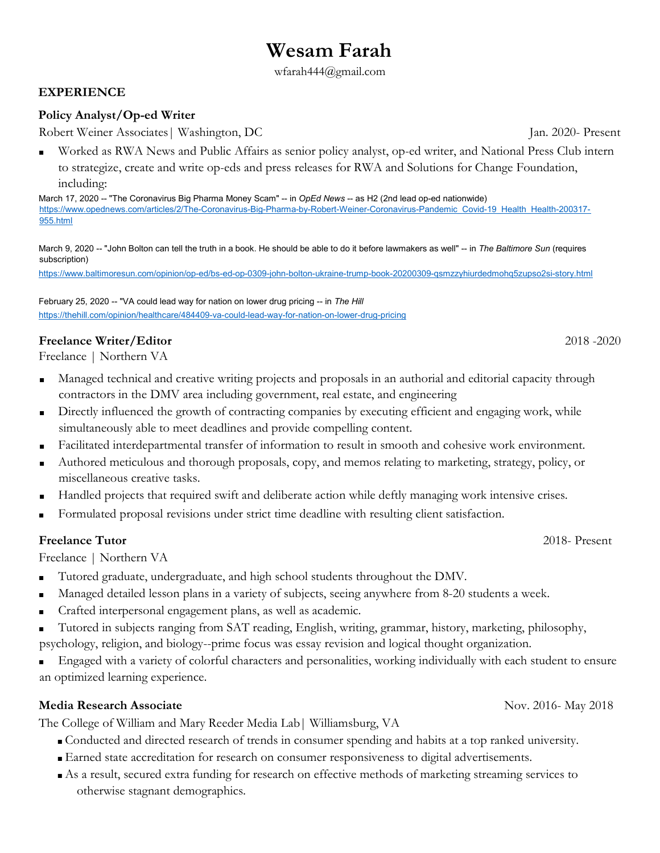# Wesam Farah

wfarah444@gmail.com

# EXPERIENCE

#### Policy Analyst/Op-ed Writer

Robert Weiner Associates| Washington, DC Jan. 2020- Present

■ Worked as RWA News and Public Affairs as senior policy analyst, op-ed writer, and National Press Club intern to strategize, create and write op-eds and press releases for RWA and Solutions for Change Foundation, including:

March 17, 2020 -- "The Coronavirus Big Pharma Money Scam" -- in OpEd News -- as H2 (2nd lead op-ed nationwide) https://www.opednews.com/articles/2/The-Coronavirus-Big-Pharma-by-Robert-Weiner-Coronavirus-Pandemic Covid-19 Health Health-200317-955.html

March 9, 2020 -- "John Bolton can tell the truth in a book. He should be able to do it before lawmakers as well" -- in The Baltimore Sun (requires subscription)

https://www.baltimoresun.com/opinion/op-ed/bs-ed-op-0309-john-bolton-ukraine-trump-book-20200309-qsmzzyhiurdedmohq5zupso2si-story.html

February 25, 2020 -- "VA could lead way for nation on lower drug pricing -- in The Hill https://thehill.com/opinion/healthcare/484409-va-could-lead-way-for-nation-on-lower-drug-pricing

# Freelance Writer/Editor 2018 -2020

Freelance | Northern VA

- Managed technical and creative writing projects and proposals in an authorial and editorial capacity through contractors in the DMV area including government, real estate, and engineering
- Directly influenced the growth of contracting companies by executing efficient and engaging work, while simultaneously able to meet deadlines and provide compelling content.
- Facilitated interdepartmental transfer of information to result in smooth and cohesive work environment.
- Authored meticulous and thorough proposals, copy, and memos relating to marketing, strategy, policy, or miscellaneous creative tasks.
- Handled projects that required swift and deliberate action while deftly managing work intensive crises.
- Formulated proposal revisions under strict time deadline with resulting client satisfaction.

### **Freelance Tutor** 2018- Present

Freelance | Northern VA

- Tutored graduate, undergraduate, and high school students throughout the DMV.
- Managed detailed lesson plans in a variety of subjects, seeing anywhere from 8-20 students a week.
- Crafted interpersonal engagement plans, as well as academic.
- Tutored in subjects ranging from SAT reading, English, writing, grammar, history, marketing, philosophy, psychology, religion, and biology--prime focus was essay revision and logical thought organization.
- Engaged with a variety of colorful characters and personalities, working individually with each student to ensure an optimized learning experience.

### Media Research Associate Nov. 2016- May 2018

The College of William and Mary Reeder Media Lab| Williamsburg, VA

- Conducted and directed research of trends in consumer spending and habits at a top ranked university.
- Earned state accreditation for research on consumer responsiveness to digital advertisements.
- As a result, secured extra funding for research on effective methods of marketing streaming services to otherwise stagnant demographics.